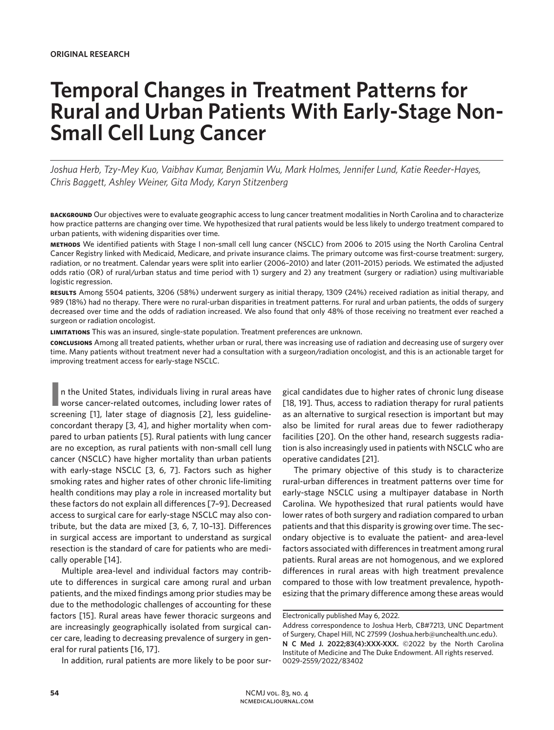# **Temporal Changes in Treatment Patterns for Rural and Urban Patients With Early-Stage Non-Small Cell Lung Cancer**

*Joshua Herb, Tzy-Mey Kuo, Vaibhav Kumar, Benjamin Wu, Mark Holmes, Jennifer Lund, Katie Reeder-Hayes, Chris Baggett, Ashley Weiner, Gita Mody, Karyn Stitzenberg*

**background** Our objectives were to evaluate geographic access to lung cancer treatment modalities in North Carolina and to characterize how practice patterns are changing over time. We hypothesized that rural patients would be less likely to undergo treatment compared to urban patients, with widening disparities over time.

**methods** We identified patients with Stage I non-small cell lung cancer (NSCLC) from 2006 to 2015 using the North Carolina Central Cancer Registry linked with Medicaid, Medicare, and private insurance claims. The primary outcome was first-course treatment: surgery, radiation, or no treatment. Calendar years were split into earlier (2006–2010) and later (2011–2015) periods. We estimated the adjusted odds ratio (OR) of rural/urban status and time period with 1) surgery and 2) any treatment (surgery or radiation) using multivariable logistic regression.

**results** Among 5504 patients, 3206 (58%) underwent surgery as initial therapy, 1309 (24%) received radiation as initial therapy, and 989 (18%) had no therapy. There were no rural-urban disparities in treatment patterns. For rural and urban patients, the odds of surgery decreased over time and the odds of radiation increased. We also found that only 48% of those receiving no treatment ever reached a surgeon or radiation oncologist.

**limitations** This was an insured, single-state population. Treatment preferences are unknown.

**conclusions** Among all treated patients, whether urban or rural, there was increasing use of radiation and decreasing use of surgery over time. Many patients without treatment never had a consultation with a surgeon/radiation oncologist, and this is an actionable target for improving treatment access for early-stage NSCLC.

**I** worse cancer-related outcomes, including lower rates of n the United States, individuals living in rural areas have screening [1], later stage of diagnosis [2], less guidelineconcordant therapy [3, 4], and higher mortality when compared to urban patients [5]. Rural patients with lung cancer are no exception, as rural patients with non-small cell lung cancer (NSCLC) have higher mortality than urban patients with early-stage NSCLC [3, 6, 7]. Factors such as higher smoking rates and higher rates of other chronic life-limiting health conditions may play a role in increased mortality but these factors do not explain all differences [7–9]. Decreased access to surgical care for early-stage NSCLC may also contribute, but the data are mixed [3, 6, 7, 10–13]. Differences in surgical access are important to understand as surgical resection is the standard of care for patients who are medically operable [14].

Multiple area-level and individual factors may contribute to differences in surgical care among rural and urban patients, and the mixed findings among prior studies may be due to the methodologic challenges of accounting for these factors [15]. Rural areas have fewer thoracic surgeons and are increasingly geographically isolated from surgical cancer care, leading to decreasing prevalence of surgery in general for rural patients [16, 17].

In addition, rural patients are more likely to be poor sur-

gical candidates due to higher rates of chronic lung disease [18, 19]. Thus, access to radiation therapy for rural patients as an alternative to surgical resection is important but may also be limited for rural areas due to fewer radiotherapy facilities [20]. On the other hand, research suggests radiation is also increasingly used in patients with NSCLC who are operative candidates [21].

The primary objective of this study is to characterize rural-urban differences in treatment patterns over time for early-stage NSCLC using a multipayer database in North Carolina. We hypothesized that rural patients would have lower rates of both surgery and radiation compared to urban patients and that this disparity is growing over time. The secondary objective is to evaluate the patient- and area-level factors associated with differences in treatment among rural patients. Rural areas are not homogenous, and we explored differences in rural areas with high treatment prevalence compared to those with low treatment prevalence, hypothesizing that the primary difference among these areas would

Electronically published May 6, 2022.

Address correspondence to Joshua Herb, CB#7213, UNC Department of Surgery, Chapel Hill, NC 27599 (Joshua.herb@unchealth.unc.edu).

**N C Med J. 2022;83(4):XXX-XXX.** ©2022 by the North Carolina Institute of Medicine and The Duke Endowment. All rights reserved. 0029-2559/2022/83402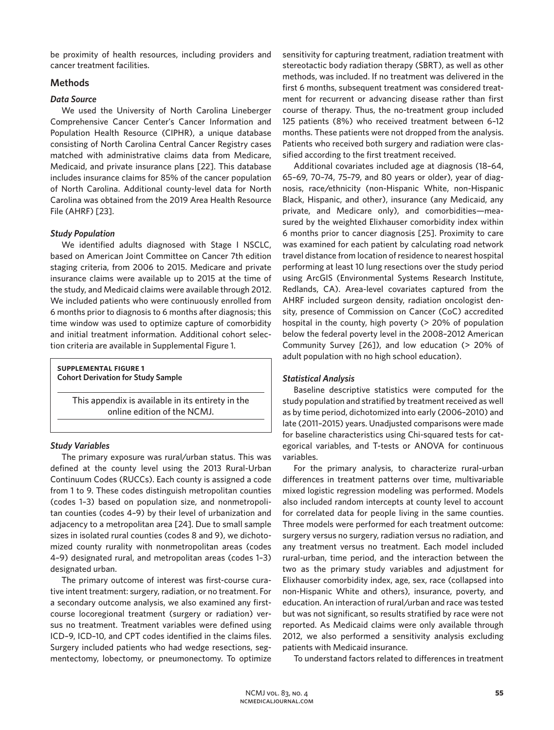be proximity of health resources, including providers and cancer treatment facilities.

## **Methods**

### *Data Source*

We used the University of North Carolina Lineberger Comprehensive Cancer Center's Cancer Information and Population Health Resource (CIPHR), a unique database consisting of North Carolina Central Cancer Registry cases matched with administrative claims data from Medicare, Medicaid, and private insurance plans [22]. This database includes insurance claims for 85% of the cancer population of North Carolina. Additional county-level data for North Carolina was obtained from the 2019 Area Health Resource File (AHRF) [23].

### *Study Population*

We identified adults diagnosed with Stage I NSCLC, based on American Joint Committee on Cancer 7th edition staging criteria, from 2006 to 2015. Medicare and private insurance claims were available up to 2015 at the time of the study, and Medicaid claims were available through 2012. We included patients who were continuously enrolled from 6 months prior to diagnosis to 6 months after diagnosis; this time window was used to optimize capture of comorbidity and initial treatment information. Additional cohort selection criteria are available in Supplemental Figure 1.

**supplemental figure 1 Cohort Derivation for Study Sample**

> This appendix is available in its entirety in the online edition of the NCMJ.

### *Study Variables*

The primary exposure was rural/urban status. This was defined at the county level using the 2013 Rural-Urban Continuum Codes (RUCCs). Each county is assigned a code from 1 to 9. These codes distinguish metropolitan counties (codes 1–3) based on population size, and nonmetropolitan counties (codes 4–9) by their level of urbanization and adjacency to a metropolitan area [24]. Due to small sample sizes in isolated rural counties (codes 8 and 9), we dichotomized county rurality with nonmetropolitan areas (codes 4–9) designated rural, and metropolitan areas (codes 1–3) designated urban.

The primary outcome of interest was first-course curative intent treatment: surgery, radiation, or no treatment. For a secondary outcome analysis, we also examined any firstcourse locoregional treatment (surgery or radiation) versus no treatment. Treatment variables were defined using ICD–9, ICD–10, and CPT codes identified in the claims files. Surgery included patients who had wedge resections, segmentectomy, lobectomy, or pneumonectomy. To optimize sensitivity for capturing treatment, radiation treatment with stereotactic body radiation therapy (SBRT), as well as other methods, was included. If no treatment was delivered in the first 6 months, subsequent treatment was considered treatment for recurrent or advancing disease rather than first course of therapy. Thus, the no-treatment group included 125 patients (8%) who received treatment between 6–12 months. These patients were not dropped from the analysis. Patients who received both surgery and radiation were classified according to the first treatment received.

Additional covariates included age at diagnosis (18–64, 65–69, 70–74, 75–79, and 80 years or older), year of diagnosis, race/ethnicity (non-Hispanic White, non-Hispanic Black, Hispanic, and other), insurance (any Medicaid, any private, and Medicare only), and comorbidities—measured by the weighted Elixhauser comorbidity index within 6 months prior to cancer diagnosis [25]. Proximity to care was examined for each patient by calculating road network travel distance from location of residence to nearest hospital performing at least 10 lung resections over the study period using ArcGIS (Environmental Systems Research Institute, Redlands, CA). Area-level covariates captured from the AHRF included surgeon density, radiation oncologist density, presence of Commission on Cancer (CoC) accredited hospital in the county, high poverty (> 20% of population below the federal poverty level in the 2008–2012 American Community Survey [26]), and low education (> 20% of adult population with no high school education).

### *Statistical Analysis*

Baseline descriptive statistics were computed for the study population and stratified by treatment received as well as by time period, dichotomized into early (2006–2010) and late (2011–2015) years. Unadjusted comparisons were made for baseline characteristics using Chi-squared tests for categorical variables, and T-tests or ANOVA for continuous variables.

For the primary analysis, to characterize rural-urban differences in treatment patterns over time, multivariable mixed logistic regression modeling was performed. Models also included random intercepts at county level to account for correlated data for people living in the same counties. Three models were performed for each treatment outcome: surgery versus no surgery, radiation versus no radiation, and any treatment versus no treatment. Each model included rural-urban, time period, and the interaction between the two as the primary study variables and adjustment for Elixhauser comorbidity index, age, sex, race (collapsed into non-Hispanic White and others), insurance, poverty, and education. An interaction of rural/urban and race was tested but was not significant, so results stratified by race were not reported. As Medicaid claims were only available through 2012, we also performed a sensitivity analysis excluding patients with Medicaid insurance.

To understand factors related to differences in treatment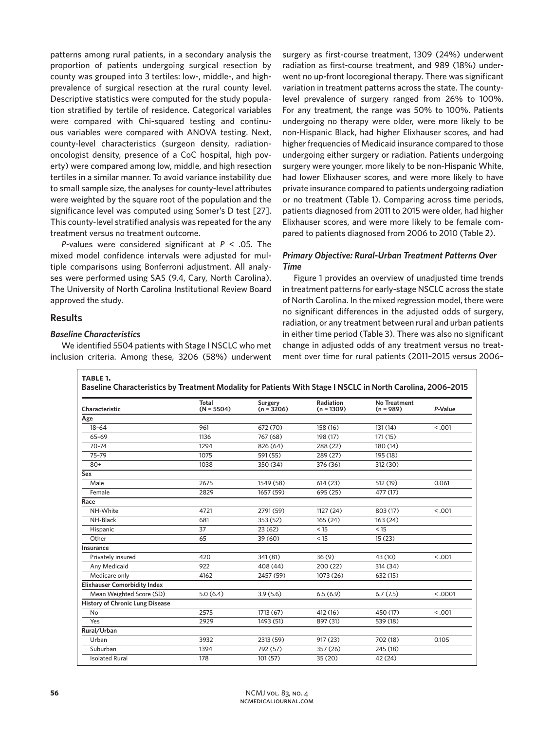patterns among rural patients, in a secondary analysis the proportion of patients undergoing surgical resection by county was grouped into 3 tertiles: low-, middle-, and highprevalence of surgical resection at the rural county level. Descriptive statistics were computed for the study population stratified by tertile of residence. Categorical variables were compared with Chi-squared testing and continuous variables were compared with ANOVA testing. Next, county-level characteristics (surgeon density, radiationoncologist density, presence of a CoC hospital, high poverty) were compared among low, middle, and high resection tertiles in a similar manner. To avoid variance instability due to small sample size, the analyses for county-level attributes were weighted by the square root of the population and the significance level was computed using Somer's D test [27]. This county-level stratified analysis was repeated for the any treatment versus no treatment outcome.

*P*-values were considered significant at *P* < .05. The mixed model confidence intervals were adjusted for multiple comparisons using Bonferroni adjustment. All analyses were performed using SAS (9.4, Cary, North Carolina). The University of North Carolina Institutional Review Board approved the study.

### **Results**

### *Baseline Characteristics*

We identified 5504 patients with Stage I NSCLC who met inclusion criteria. Among these, 3206 (58%) underwent

surgery as first-course treatment, 1309 (24%) underwent radiation as first-course treatment, and 989 (18%) underwent no up-front locoregional therapy. There was significant variation in treatment patterns across the state. The countylevel prevalence of surgery ranged from 26% to 100%. For any treatment, the range was 50% to 100%. Patients undergoing no therapy were older, were more likely to be non-Hispanic Black, had higher Elixhauser scores, and had higher frequencies of Medicaid insurance compared to those undergoing either surgery or radiation. Patients undergoing surgery were younger, more likely to be non-Hispanic White, had lower Elixhauser scores, and were more likely to have private insurance compared to patients undergoing radiation or no treatment (Table 1). Comparing across time periods, patients diagnosed from 2011 to 2015 were older, had higher Elixhauser scores, and were more likely to be female compared to patients diagnosed from 2006 to 2010 (Table 2).

# *Primary Objective: Rural-Urban Treatment Patterns Over Time*

Figure 1 provides an overview of unadjusted time trends in treatment patterns for early-stage NSCLC across the state of North Carolina. In the mixed regression model, there were no significant differences in the adjusted odds of surgery, radiation, or any treatment between rural and urban patients in either time period (Table 3). There was also no significant change in adjusted odds of any treatment versus no treatment over time for rural patients (2011–2015 versus 2006–

| Characteristic                         | Total<br>$(N = 5504)$ | Surgery<br>$(n = 3206)$ | Radiation<br>$(n = 1309)$ | <b>No Treatment</b><br>$(n = 989)$ | P-Value |  |
|----------------------------------------|-----------------------|-------------------------|---------------------------|------------------------------------|---------|--|
| Age                                    |                       |                         |                           |                                    |         |  |
| $18 - 64$                              | 961                   | 672 (70)                | 158 (16)                  | 131 (14)                           | < .001  |  |
| 65-69                                  | 1136                  | 767 (68)                | 198 (17)                  | 171 (15)                           |         |  |
| $70 - 74$                              | 1294                  | 826 (64)                | 288 (22)                  | 180 (14)                           |         |  |
| 75-79                                  | 1075                  | 591 (55)                | 289 (27)                  | 195 (18)                           |         |  |
| $80+$                                  | 1038                  | 350 (34)                | 376 (36)                  | 312 (30)                           |         |  |
| Sex                                    |                       |                         |                           |                                    |         |  |
| Male                                   | 2675                  | 1549 (58)               | 614 (23)                  | 512 (19)                           | 0.061   |  |
| Female                                 | 2829                  | 1657 (59)               | 695 (25)                  | 477 (17)                           |         |  |
| Race                                   |                       |                         |                           |                                    |         |  |
| NH-White                               | 4721                  | 2791 (59)               | 1127 (24)                 | 803 (17)                           | < .001  |  |
| NH-Black                               | 681                   | 353 (52)                | 165 (24)                  | 163 (24)                           |         |  |
| Hispanic                               | 37                    | 23(62)                  | < 15                      | < 15                               |         |  |
| Other                                  | 65                    | 39(60)                  | < 15                      | 15(23)                             |         |  |
| Insurance                              |                       |                         |                           |                                    |         |  |
| Privately insured                      | 420                   | 341 (81)                | 36(9)                     | 43 (10)                            | < 0.001 |  |
| Any Medicaid                           | 922                   | 408 (44)                | 200 (22)                  | 314 (34)                           |         |  |
| Medicare only                          | 4162                  | 2457 (59)               | 1073 (26)                 | 632 (15)                           |         |  |
| <b>Elixhauser Comorbidity Index</b>    |                       |                         |                           |                                    |         |  |
| Mean Weighted Score (SD)               | 5.0(6.4)              | 3.9(5.6)                | 6.5(6.9)                  | 6.7(7.5)                           | < 0.001 |  |
| <b>History of Chronic Lung Disease</b> |                       |                         |                           |                                    |         |  |
| No                                     | 2575                  | 1713 (67)               | 412 (16)                  | 450 (17)                           | < .001  |  |
| Yes                                    | 2929                  | 1493 (51)               | 897 (31)                  | 539 (18)                           |         |  |
| Rural/Urban                            |                       |                         |                           |                                    |         |  |
| Urban                                  | 3932                  | 2313 (59)               | 917 (23)                  | 702 (18)                           | 0.105   |  |
| Suburban                               | 1394                  | 792 (57)                | 357 (26)                  | 245 (18)                           |         |  |
| <b>Isolated Rural</b>                  | 178                   | 101(57)                 | 35 (20)                   | 42 (24)                            |         |  |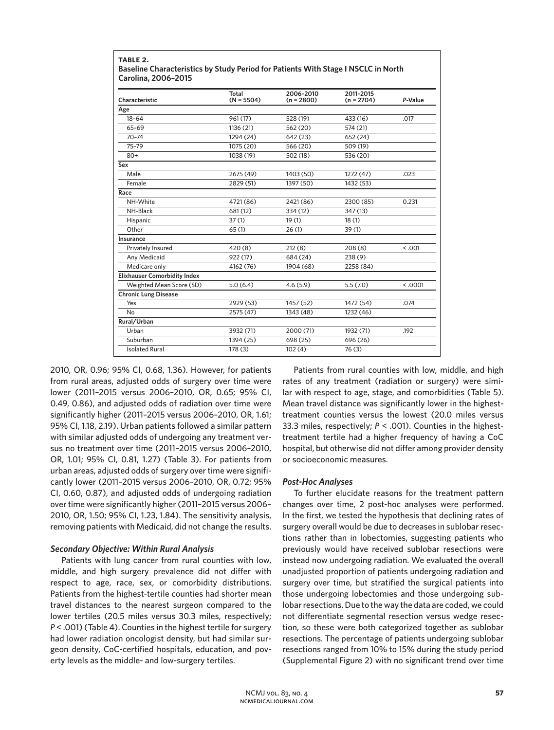| Characteristic                      | Total<br>$(N = 5504)$ | 2006-2010<br>$(n = 2800)$ | 2011-2015<br>$(n = 2704)$ | P-Value |
|-------------------------------------|-----------------------|---------------------------|---------------------------|---------|
| Age                                 |                       |                           |                           |         |
| $18 - 64$                           | 961 (17)              | 528 (19)                  | 433 (16)                  | .017    |
| 65-69                               | 1136 (21)             | 562 (20)                  | 574 (21)                  |         |
| $70 - 74$                           | 1294 (24)             | 642 (23)                  | 652 (24)                  |         |
| 75-79                               | 1075 (20)             | 566 (20)                  | 509 (19)                  |         |
| $80+$                               | 1038 (19)             | 502 (18)                  | 536 (20)                  |         |
| Sex                                 |                       |                           |                           |         |
| Male                                | 2675 (49)             | 1403 (50)                 | 1272 (47)                 | .023    |
| Female                              | 2829 (51)             | 1397 (50)                 | 1432 (53)                 |         |
| Race                                |                       |                           |                           |         |
| NH-White                            | 4721 (86)             | 2421 (86)                 | 2300 (85)                 | 0.231   |
| NH-Black                            | 681 (12)              | 334 (12)                  | 347 (13)                  |         |
| Hispanic                            | 37(1)                 | 19(1)                     | 18(1)                     |         |
| Other                               | 65(1)                 | 26(1)                     | 39(1)                     |         |
| Insurance                           |                       |                           |                           |         |
| Privately Insured                   | 420 (8)               | 212(8)                    | 208(8)                    | < 0.001 |
| Any Medicaid                        | 922 (17)              | 684 (24)                  | 238 (9)                   |         |
| Medicare only                       | 4162 (76)             | 1904 (68)                 | 2258 (84)                 |         |
| <b>Elixhauser Comorbidity Index</b> |                       |                           |                           |         |
| Weighted Mean Score (SD)            | 5.0(6.4)              | 4.6(5.9)                  | 5.5(7.0)                  | < 0.001 |
| <b>Chronic Lung Disease</b>         |                       |                           |                           |         |
| Yes                                 | 2929 (53)             | 1457 (52)                 | 1472 (54)                 | .074    |
| No                                  | 2575 (47)             | 1343 (48)                 | 1232 (46)                 |         |
| Rural/Urban                         |                       |                           |                           |         |
| Urban                               | 3932 (71)             | 2000 (71)                 | 1932 (71)                 | .192    |
| Suburban                            | 1394 (25)             | 698 (25)                  | 696 (26)                  |         |
| <b>Isolated Rural</b>               | 178 (3)               | 102(4)                    | 76(3)                     |         |

**table 2.**

2010, OR, 0.96; 95% CI, 0.68, 1.36). However, for patients from rural areas, adjusted odds of surgery over time were lower (2011–2015 versus 2006–2010, OR, 0.65; 95% CI, 0.49, 0.86), and adjusted odds of radiation over time were significantly higher (2011–2015 versus 2006–2010, OR, 1.61; 95% CI, 1.18, 2.19). Urban patients followed a similar pattern with similar adjusted odds of undergoing any treatment versus no treatment over time (2011–2015 versus 2006–2010, OR, 1.01; 95% CI, 0.81, 1.27) (Table 3). For patients from urban areas, adjusted odds of surgery over time were significantly lower (2011–2015 versus 2006–2010, OR, 0.72; 95% CI, 0.60, 0.87), and adjusted odds of undergoing radiation over time were significantly higher (2011–2015 versus 2006– 2010, OR, 1.50; 95% CI, 1.23, 1.84). The sensitivity analysis, removing patients with Medicaid, did not change the results.

### *Secondary Objective: Within Rural Analysis*

Patients with lung cancer from rural counties with low, middle, and high surgery prevalence did not differ with respect to age, race, sex, or comorbidity distributions. Patients from the highest-tertile counties had shorter mean travel distances to the nearest surgeon compared to the lower tertiles (20.5 miles versus 30.3 miles, respectively; *P* < .001) (Table 4). Counties in the highest tertile for surgery had lower radiation oncologist density, but had similar surgeon density, CoC-certified hospitals, education, and poverty levels as the middle- and low-surgery tertiles.

Patients from rural counties with low, middle, and high rates of any treatment (radiation or surgery) were similar with respect to age, stage, and comorbidities (Table 5). Mean travel distance was significantly lower in the highesttreatment counties versus the lowest (20.0 miles versus 33.3 miles, respectively; *P* < .001). Counties in the highesttreatment tertile had a higher frequency of having a CoC hospital, but otherwise did not differ among provider density or socioeconomic measures.

# *Post-Hoc Analyses*

To further elucidate reasons for the treatment pattern changes over time, 2 post-hoc analyses were performed. In the first, we tested the hypothesis that declining rates of surgery overall would be due to decreases in sublobar resections rather than in lobectomies, suggesting patients who previously would have received sublobar resections were instead now undergoing radiation. We evaluated the overall unadjusted proportion of patients undergoing radiation and surgery over time, but stratified the surgical patients into those undergoing lobectomies and those undergoing sublobar resections. Due to the way the data are coded, we could not differentiate segmental resection versus wedge resection, so these were both categorized together as sublobar resections. The percentage of patients undergoing sublobar resections ranged from 10% to 15% during the study period (Supplemental Figure 2) with no significant trend over time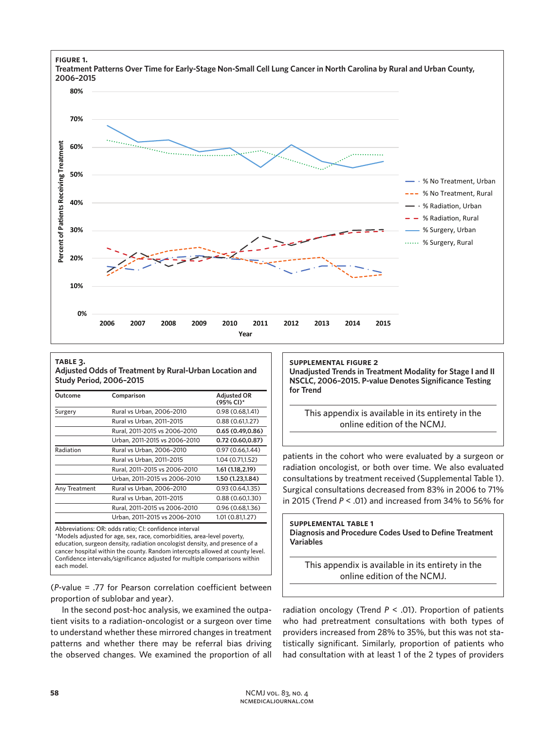

# **table 3.**

**Adjusted Odds of Treatment by Rural-Urban Location and Study Period, 2006–2015** 

| Outcome       | Comparison                                                                                                                                                                                                    | <b>Adjusted OR</b><br>(95% CI)* |  |
|---------------|---------------------------------------------------------------------------------------------------------------------------------------------------------------------------------------------------------------|---------------------------------|--|
| Surgery       | Rural vs Urban, 2006-2010                                                                                                                                                                                     | 0.98(0.68, 1.41)                |  |
|               | Rural vs Urban, 2011-2015                                                                                                                                                                                     | 0.88(0.61, 1.27)                |  |
|               | Rural, 2011-2015 vs 2006-2010                                                                                                                                                                                 | 0.65(0.49, 0.86)                |  |
|               | Urban, 2011-2015 vs 2006-2010                                                                                                                                                                                 | 0.72(0.60, 0.87)                |  |
| Radiation     | Rural vs Urban, 2006-2010                                                                                                                                                                                     | 0.97 (0.66,1.44)                |  |
|               | Rural vs Urban, 2011-2015                                                                                                                                                                                     | 1.04 (0.71,1.52)                |  |
|               | Rural, 2011-2015 vs 2006-2010                                                                                                                                                                                 | 1.61 (1.18,2.19)                |  |
|               | Urban, 2011-2015 vs 2006-2010                                                                                                                                                                                 | 1.50 (1.23,1.84)                |  |
| Any Treatment | Rural vs Urban, 2006-2010                                                                                                                                                                                     | 0.93(0.64, 1.35)                |  |
|               | Rural vs Urban, 2011-2015                                                                                                                                                                                     | 0.88(0.60, 1.30)                |  |
|               | Rural, 2011-2015 vs 2006-2010                                                                                                                                                                                 | 0.96(0.68, 1.36)                |  |
|               | Urban, 2011-2015 vs 2006-2010                                                                                                                                                                                 | 1.01 (0.81,1.27)                |  |
|               | Abbreviations: OR: odds ratio; CI: confidence interval<br>*Models adjusted for age, sex, race, comorbidities, area-level poverty,<br>education surgeon density radiation oncologist density and presence of a |                                 |  |

education, surgeon density, radiation oncologist density, and presence of a cancer hospital within the county. Random intercepts allowed at county level. Confidence intervals/significance adjusted for multiple comparisons within each model.

(*P*-value = .77 for Pearson correlation coefficient between proportion of sublobar and year).

In the second post-hoc analysis, we examined the outpatient visits to a radiation-oncologist or a surgeon over time to understand whether these mirrored changes in treatment patterns and whether there may be referral bias driving the observed changes. We examined the proportion of all

# **supplemental figure 2**

**Unadjusted Trends in Treatment Modality for Stage I and II NSCLC, 2006–2015. P-value Denotes Significance Testing for Trend** 

This appendix is available in its entirety in the online edition of the NCMJ.

patients in the cohort who were evaluated by a surgeon or radiation oncologist, or both over time. We also evaluated consultations by treatment received (Supplemental Table 1). Surgical consultations decreased from 83% in 2006 to 71% in 2015 (Trend *P* < .01) and increased from 34% to 56% for

### **supplemental table 1 Diagnosis and Procedure Codes Used to Define Treatment Variables**

This appendix is available in its entirety in the online edition of the NCMJ.

radiation oncology (Trend *P* < .01). Proportion of patients who had pretreatment consultations with both types of providers increased from 28% to 35%, but this was not statistically significant. Similarly, proportion of patients who had consultation with at least 1 of the 2 types of providers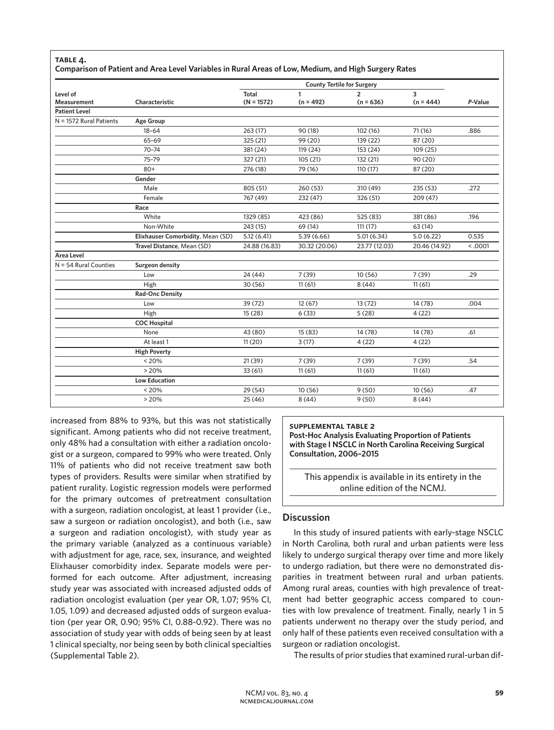### **table 4.**

### **Comparison of Patient and Area Level Variables in Rural Areas of Low, Medium, and High Surgery Rates**

|                                |                                   | <b>County Tertile for Surgery</b> |                  |                               |                  |         |
|--------------------------------|-----------------------------------|-----------------------------------|------------------|-------------------------------|------------------|---------|
| Level of<br><b>Measurement</b> | Characteristic                    | Total<br>$(N = 1572)$             | 1<br>$(n = 492)$ | $\overline{2}$<br>$(n = 636)$ | 3<br>$(n = 444)$ | P-Value |
| <b>Patient Level</b>           |                                   |                                   |                  |                               |                  |         |
| N = 1572 Rural Patients        | <b>Age Group</b>                  |                                   |                  |                               |                  |         |
|                                | $18 - 64$                         | 263 (17)                          | 90 (18)          | 102(16)                       | 71(16)           | .886    |
|                                | 65-69                             | 325 (21)                          | 99 (20)          | 139 (22)                      | 87 (20)          |         |
|                                | $70 - 74$                         | 381 (24)                          | 119 (24)         | 153 (24)                      | 109 (25)         |         |
|                                | 75-79                             | 327 (21)                          | 105(21)          | 132 (21)                      | 90(20)           |         |
|                                | $80+$                             | 276 (18)                          | 79 (16)          | 110 (17)                      | 87 (20)          |         |
|                                | Gender                            |                                   |                  |                               |                  |         |
|                                | Male                              | 805 (51)                          | 260 (53)         | 310 (49)                      | 235 (53)         | .272    |
|                                | Female                            | 767 (49)                          | 232 (47)         | 326 (51)                      | 209 (47)         |         |
|                                | Race                              |                                   |                  |                               |                  |         |
|                                | White                             | 1329 (85)                         | 423 (86)         | 525 (83)                      | 381 (86)         | .196    |
|                                | Non-White                         | 243 (15)                          | 69 (14)          | 111(17)                       | 63 (14)          |         |
|                                | Elixhauser Comorbidity, Mean (SD) | 5.12(6.41)                        | 5.39(6.66)       | 5.01(6.34)                    | 5.0(6.22)        | 0.535   |
|                                | Travel Distance, Mean (SD)        | 24.88 (16.83)                     | 30.32 (20.06)    | 23.77 (12.03)                 | 20.46 (14.92)    | < .0001 |
| <b>Area Level</b>              |                                   |                                   |                  |                               |                  |         |
| $N = 54$ Rural Counties        | <b>Surgeon density</b>            |                                   |                  |                               |                  |         |
|                                | Low                               | 24 (44)                           | 7(39)            | 10(56)                        | 7(39)            | .29     |
|                                | High                              | 30(56)                            | 11(61)           | 8(44)                         | 11(61)           |         |
|                                | <b>Rad-Onc Density</b>            |                                   |                  |                               |                  |         |
|                                | Low                               | 39 (72)                           | 12(67)           | 13(72)                        | 14 (78)          | .004    |
|                                | High                              | 15(28)                            | 6(33)            | 5(28)                         | 4(22)            |         |
|                                | <b>COC Hospital</b>               |                                   |                  |                               |                  |         |
|                                | None                              | 43 (80)                           | 15(83)           | 14 (78)                       | 14 (78)          | .61     |
|                                | At least 1                        | 11(20)                            | 3(17)            | 4(22)                         | 4(22)            |         |
|                                | <b>High Poverty</b>               |                                   |                  |                               |                  |         |
|                                | < 20%                             | 21(39)                            | 7(39)            | 7(39)                         | 7(39)            | .54     |
|                                | >20%                              | 33(61)                            | 11(61)           | 11(61)                        | 11(61)           |         |
|                                | <b>Low Education</b>              |                                   |                  |                               |                  |         |
|                                | < 20%                             | 29 (54)                           | 10(56)           | 9(50)                         | 10(56)           | .47     |
|                                | > 20%                             | 25(46)                            | 8(44)            | 9(50)                         | 8(44)            |         |

increased from 88% to 93%, but this was not statistically significant. Among patients who did not receive treatment, only 48% had a consultation with either a radiation oncologist or a surgeon, compared to 99% who were treated. Only 11% of patients who did not receive treatment saw both types of providers. Results were similar when stratified by patient rurality. Logistic regression models were performed for the primary outcomes of pretreatment consultation with a surgeon, radiation oncologist, at least 1 provider (i.e., saw a surgeon or radiation oncologist), and both (i.e., saw a surgeon and radiation oncologist), with study year as the primary variable (analyzed as a continuous variable) with adjustment for age, race, sex, insurance, and weighted Elixhauser comorbidity index. Separate models were performed for each outcome. After adjustment, increasing study year was associated with increased adjusted odds of radiation oncologist evaluation (per year OR, 1.07; 95% CI, 1.05, 1.09) and decreased adjusted odds of surgeon evaluation (per year OR, 0.90; 95% CI, 0.88-0.92). There was no association of study year with odds of being seen by at least 1 clinical specialty, nor being seen by both clinical specialties (Supplemental Table 2).

**supplemental table 2 Post-Hoc Analysis Evaluating Proportion of Patients with Stage I NSCLC in North Carolina Receiving Surgical Consultation, 2006–2015** 

This appendix is available in its entirety in the online edition of the NCMJ.

### **Discussion**

In this study of insured patients with early-stage NSCLC in North Carolina, both rural and urban patients were less likely to undergo surgical therapy over time and more likely to undergo radiation, but there were no demonstrated disparities in treatment between rural and urban patients. Among rural areas, counties with high prevalence of treatment had better geographic access compared to counties with low prevalence of treatment. Finally, nearly 1 in 5 patients underwent no therapy over the study period, and only half of these patients even received consultation with a surgeon or radiation oncologist.

The results of prior studies that examined rural-urban dif-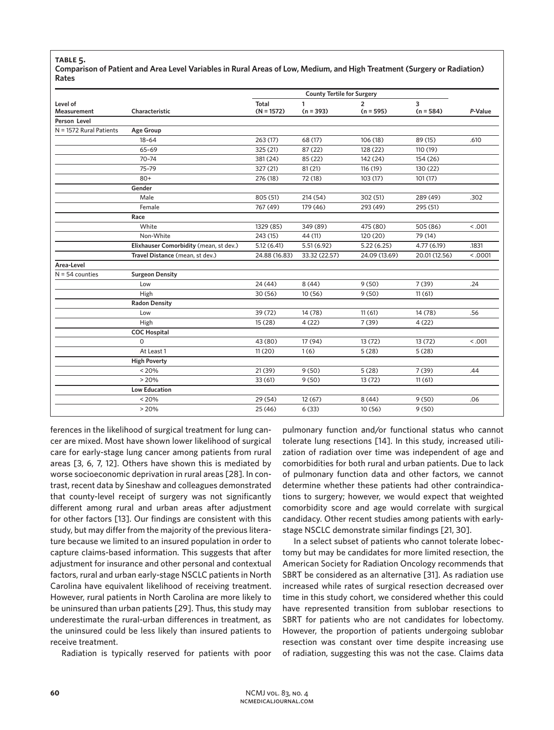### **table 5.**

**Comparison of Patient and Area Level Variables in Rural Areas of Low, Medium, and High Treatment (Surgery or Radiation) Rates**

|                           |                                        | <b>County Tertile for Surgery</b> |               |                |               |         |
|---------------------------|----------------------------------------|-----------------------------------|---------------|----------------|---------------|---------|
| Level of                  |                                        | Total                             | 1             | $\overline{2}$ | 3             |         |
| <b>Measurement</b>        | Characteristic                         | $(N = 1572)$                      | $(n = 393)$   | $(n = 595)$    | $(n = 584)$   | P-Value |
| Person Level              |                                        |                                   |               |                |               |         |
| $N = 1572$ Rural Patients | <b>Age Group</b>                       |                                   |               |                |               |         |
|                           | $18 - 64$                              | 263 (17)                          | 68 (17)       | 106 (18)       | 89 (15)       | .610    |
|                           | $65 - 69$                              | 325 (21)                          | 87 (22)       | 128 (22)       | 110(19)       |         |
|                           | $70 - 74$                              | 381 (24)                          | 85 (22)       | 142 (24)       | 154 (26)      |         |
|                           | 75-79                                  | 327 (21)                          | 81(21)        | 116 (19)       | 130 (22)      |         |
|                           | $80+$                                  | 276 (18)                          | 72 (18)       | 103 (17)       | 101(17)       |         |
|                           | Gender                                 |                                   |               |                |               |         |
|                           | Male                                   | 805 (51)                          | 214(54)       | 302 (51)       | 289 (49)      | .302    |
|                           | Female                                 | 767 (49)                          | 179 (46)      | 293 (49)       | 295 (51)      |         |
|                           | Race                                   |                                   |               |                |               |         |
|                           | White                                  | 1329 (85)                         | 349 (89)      | 475 (80)       | 505 (86)      | < .001  |
|                           | Non-White                              | 243 (15)                          | 44 (11)       | 120 (20)       | 79 (14)       |         |
|                           | Elixhauser Comorbidity (mean, st dev.) | 5.12(6.41)                        | 5.51(6.92)    | 5.22(6.25)     | 4.77(6.19)    | .1831   |
|                           | Travel Distance (mean, st dev.)        | 24.88 (16.83)                     | 33.32 (22.57) | 24.09 (13.69)  | 20.01 (12.56) | < .0001 |
| Area-Level                |                                        |                                   |               |                |               |         |
| $N = 54$ counties         | <b>Surgeon Density</b>                 |                                   |               |                |               |         |
|                           | Low                                    | 24 (44)                           | 8(44)         | 9(50)          | 7(39)         | .24     |
|                           | High                                   | 30(56)                            | 10(56)        | 9(50)          | 11(61)        |         |
|                           | <b>Radon Density</b>                   |                                   |               |                |               |         |
|                           | Low                                    | 39 (72)                           | 14 (78)       | 11(61)         | 14 (78)       | .56     |
|                           | High                                   | 15 (28)                           | 4(22)         | 7(39)          | 4(22)         |         |
|                           | <b>COC Hospital</b>                    |                                   |               |                |               |         |
|                           | 0                                      | 43 (80)                           | 17 (94)       | 13(72)         | 13(72)        | < .001  |
|                           | At Least 1                             | 11(20)                            | 1(6)          | 5(28)          | 5(28)         |         |
|                           | <b>High Poverty</b>                    |                                   |               |                |               |         |
|                           | < 20%                                  | 21(39)                            | 9(50)         | 5(28)          | 7(39)         | .44     |
|                           | > 20%                                  | 33(61)                            | 9(50)         | 13(72)         | 11(61)        |         |
|                           | <b>Low Education</b>                   |                                   |               |                |               |         |
|                           | < 20%                                  | 29 (54)                           | 12(67)        | 8(44)          | 9(50)         | .06     |
|                           | >20%                                   | 25(46)                            | 6(33)         | 10(56)         | 9(50)         |         |

ferences in the likelihood of surgical treatment for lung cancer are mixed. Most have shown lower likelihood of surgical care for early-stage lung cancer among patients from rural areas [3, 6, 7, 12]. Others have shown this is mediated by worse socioeconomic deprivation in rural areas [28]. In contrast, recent data by Sineshaw and colleagues demonstrated that county-level receipt of surgery was not significantly different among rural and urban areas after adjustment for other factors [13]. Our findings are consistent with this study, but may differ from the majority of the previous literature because we limited to an insured population in order to capture claims-based information. This suggests that after adjustment for insurance and other personal and contextual factors, rural and urban early-stage NSCLC patients in North Carolina have equivalent likelihood of receiving treatment. However, rural patients in North Carolina are more likely to be uninsured than urban patients [29]. Thus, this study may underestimate the rural-urban differences in treatment, as the uninsured could be less likely than insured patients to receive treatment.

Radiation is typically reserved for patients with poor

pulmonary function and/or functional status who cannot tolerate lung resections [14]. In this study, increased utilization of radiation over time was independent of age and comorbidities for both rural and urban patients. Due to lack of pulmonary function data and other factors, we cannot determine whether these patients had other contraindications to surgery; however, we would expect that weighted comorbidity score and age would correlate with surgical candidacy. Other recent studies among patients with earlystage NSCLC demonstrate similar findings [21, 30].

In a select subset of patients who cannot tolerate lobectomy but may be candidates for more limited resection, the American Society for Radiation Oncology recommends that SBRT be considered as an alternative [31]. As radiation use increased while rates of surgical resection decreased over time in this study cohort, we considered whether this could have represented transition from sublobar resections to SBRT for patients who are not candidates for lobectomy. However, the proportion of patients undergoing sublobar resection was constant over time despite increasing use of radiation, suggesting this was not the case. Claims data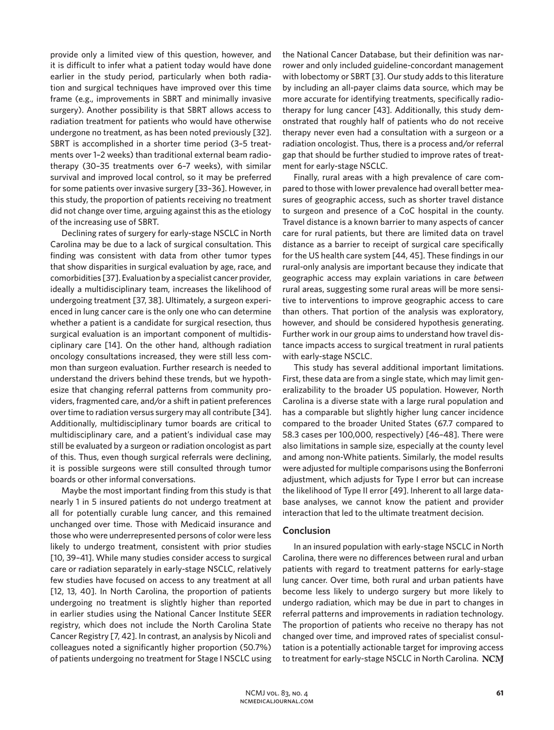provide only a limited view of this question, however, and it is difficult to infer what a patient today would have done earlier in the study period, particularly when both radiation and surgical techniques have improved over this time frame (e.g., improvements in SBRT and minimally invasive surgery). Another possibility is that SBRT allows access to radiation treatment for patients who would have otherwise undergone no treatment, as has been noted previously [32]. SBRT is accomplished in a shorter time period (3–5 treatments over 1–2 weeks) than traditional external beam radiotherapy (30–35 treatments over 6–7 weeks), with similar survival and improved local control, so it may be preferred for some patients over invasive surgery [33–36]. However, in this study, the proportion of patients receiving no treatment did not change over time, arguing against this as the etiology of the increasing use of SBRT.

Declining rates of surgery for early-stage NSCLC in North Carolina may be due to a lack of surgical consultation. This finding was consistent with data from other tumor types that show disparities in surgical evaluation by age, race, and comorbidities [37]. Evaluation by a specialist cancer provider, ideally a multidisciplinary team, increases the likelihood of undergoing treatment [37, 38]. Ultimately, a surgeon experienced in lung cancer care is the only one who can determine whether a patient is a candidate for surgical resection, thus surgical evaluation is an important component of multidisciplinary care [14]. On the other hand, although radiation oncology consultations increased, they were still less common than surgeon evaluation. Further research is needed to understand the drivers behind these trends, but we hypothesize that changing referral patterns from community providers, fragmented care, and/or a shift in patient preferences over time to radiation versus surgery may all contribute [34]. Additionally, multidisciplinary tumor boards are critical to multidisciplinary care, and a patient's individual case may still be evaluated by a surgeon or radiation oncologist as part of this. Thus, even though surgical referrals were declining, it is possible surgeons were still consulted through tumor boards or other informal conversations.

Maybe the most important finding from this study is that nearly 1 in 5 insured patients do not undergo treatment at all for potentially curable lung cancer, and this remained unchanged over time. Those with Medicaid insurance and those who were underrepresented persons of color were less likely to undergo treatment, consistent with prior studies [10, 39–41]. While many studies consider access to surgical care or radiation separately in early-stage NSCLC, relatively few studies have focused on access to any treatment at all [12, 13, 40]. In North Carolina, the proportion of patients undergoing no treatment is slightly higher than reported in earlier studies using the National Cancer Institute SEER registry, which does not include the North Carolina State Cancer Registry [7, 42]. In contrast, an analysis by Nicoli and colleagues noted a significantly higher proportion (50.7%) of patients undergoing no treatment for Stage I NSCLC using

the National Cancer Database, but their definition was narrower and only included guideline-concordant management with lobectomy or SBRT [3]. Our study adds to this literature by including an all-payer claims data source, which may be more accurate for identifying treatments, specifically radiotherapy for lung cancer [43]. Additionally, this study demonstrated that roughly half of patients who do not receive therapy never even had a consultation with a surgeon or a radiation oncologist. Thus, there is a process and/or referral gap that should be further studied to improve rates of treatment for early-stage NSCLC.

Finally, rural areas with a high prevalence of care compared to those with lower prevalence had overall better measures of geographic access, such as shorter travel distance to surgeon and presence of a CoC hospital in the county. Travel distance is a known barrier to many aspects of cancer care for rural patients, but there are limited data on travel distance as a barrier to receipt of surgical care specifically for the US health care system [44, 45]. These findings in our rural-only analysis are important because they indicate that geographic access may explain variations in care *between* rural areas, suggesting some rural areas will be more sensitive to interventions to improve geographic access to care than others. That portion of the analysis was exploratory, however, and should be considered hypothesis generating. Further work in our group aims to understand how travel distance impacts access to surgical treatment in rural patients with early-stage NSCLC.

This study has several additional important limitations. First, these data are from a single state, which may limit generalizability to the broader US population. However, North Carolina is a diverse state with a large rural population and has a comparable but slightly higher lung cancer incidence compared to the broader United States (67.7 compared to 58.3 cases per 100,000, respectively) [46–48]. There were also limitations in sample size, especially at the county level and among non-White patients. Similarly, the model results were adjusted for multiple comparisons using the Bonferroni adjustment, which adjusts for Type I error but can increase the likelihood of Type II error [49]. Inherent to all large database analyses, we cannot know the patient and provider interaction that led to the ultimate treatment decision.

# **Conclusion**

In an insured population with early-stage NSCLC in North Carolina, there were no differences between rural and urban patients with regard to treatment patterns for early-stage lung cancer. Over time, both rural and urban patients have become less likely to undergo surgery but more likely to undergo radiation, which may be due in part to changes in referral patterns and improvements in radiation technology. The proportion of patients who receive no therapy has not changed over time, and improved rates of specialist consultation is a potentially actionable target for improving access to treatment for early-stage NSCLC in North Carolina. NCM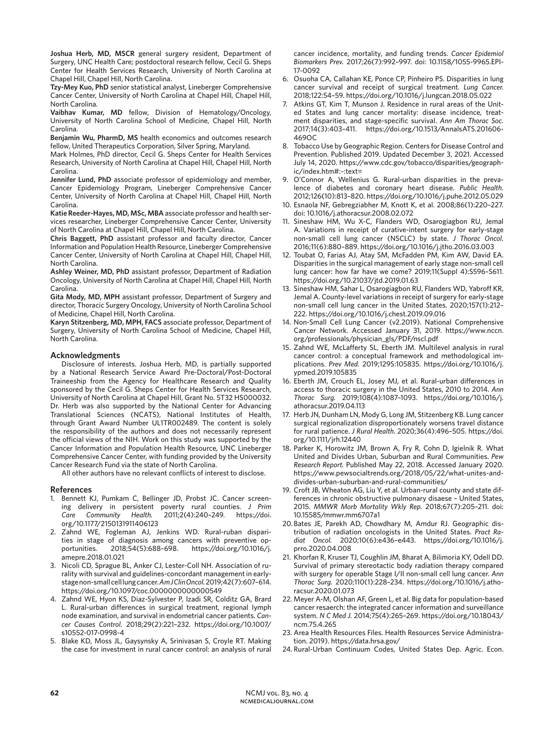**Joshua Herb, MD, MSCR** general surgery resident, Department of Surgery, UNC Health Care; postdoctoral research fellow, Cecil G. Sheps Center for Health Services Research, University of North Carolina at Chapel Hill, Chapel Hill, North Carolina.

**Tzy-Mey Kuo, PhD** senior statistical analyst, Lineberger Comprehensive Cancer Center, University of North Carolina at Chapel Hill, Chapel Hill, North Carolina.

**Vaibhav Kumar, MD** fellow, Division of Hematology/Oncology, University of North Carolina School of Medicine, Chapel Hill, North Carolina.

**Benjamin Wu, PharmD, MS** health economics and outcomes research fellow, United Therapeutics Corporation, Silver Spring, Maryland.

Mark Holmes, PhD director, Cecil G. Sheps Center for Health Services Research, University of North Carolina at Chapel Hill, Chapel Hill, North Carolina.

**Jennifer Lund, PhD** associate professor of epidemiology and member, Cancer Epidemiology Program, Lineberger Comprehensive Cancer Center, University of North Carolina at Chapel Hill, Chapel Hill, North Carolina.

**Katie Reeder-Hayes, MD, MSc, MBA** associate professor and health services researcher, Lineberger Comprehensive Cancer Center, University of North Carolina at Chapel Hill, Chapel Hill, North Carolina.

**Chris Baggett, PhD** assistant professor and faculty director, Cancer Information and Population Health Resource, Lineberger Comprehensive Cancer Center, University of North Carolina at Chapel Hill, Chapel Hill, North Carolina.

**Ashley Weiner, MD, PhD** assistant professor, Department of Radiation Oncology, University of North Carolina at Chapel Hill, Chapel Hill, North Carolina.

**Gita Mody, MD, MPH** assistant professor, Department of Surgery and director, Thoracic Surgery Oncology, University of North Carolina School of Medicine, Chapel Hill, North Carolina.

**Karyn Stitzenberg, MD, MPH, FACS** associate professor, Department of Surgery, University of North Carolina School of Medicine, Chapel Hill, North Carolina.

#### **Acknowledgments**

Disclosure of interests. Joshua Herb, MD, is partially supported by a National Research Service Award Pre-Doctoral/Post-Doctoral Traineeship from the Agency for Healthcare Research and Quality sponsored by the Cecil G. Sheps Center for Health Services Research, University of North Carolina at Chapel Hill, Grant No. 5T32 HS000032. Dr. Herb was also supported by the National Center for Advancing Translational Sciences (NCATS), National Institutes of Health, through Grant Award Number UL1TR002489. The content is solely the responsibility of the authors and does not necessarily represent the official views of the NIH. Work on this study was supported by the Cancer Information and Population Health Resource, UNC Lineberger Comprehensive Cancer Center, with funding provided by the University Cancer Research Fund via the state of North Carolina.

All other authors have no relevant conflicts of interest to disclose.

#### **References**

- 1. Bennett KJ, Pumkam C, Bellinger JD, Probst JC. Cancer screening delivery in persistent poverty rural counties. *J Prim Care Community Health.* 2011;2(4):240–249. https://doi. org/10.1177/2150131911406123
- 2. Zahnd WE, Fogleman AJ, Jenkins WD. Rural-ruban disparities in stage of diagnosis among cancers with preventive opportunities. 2018;54(5):688–698. https://doi.org/10.1016/j. amepre.2018.01.021
- 3. Nicoli CD, Sprague BL, Anker CJ, Lester-Coll NH. Association of rurality with survival and guidelines-concordant management in earlystage non-small cell lung cancer. *Am J Clin Oncol.* 2019;42(7):607–614. https://doi.org/10.1097/coc.0000000000000549
- 4. Zahnd WE, Hyon KS, Diaz-Sylvester P, Izadi SR, Colditz GA, Brard L. Rural-urban differences in surgical treatment, regional lymph node examination, and survival in endometrial cancer patients. *Cancer Causes Control.* 2018;29(2):221–232. https://doi.org/10.1007/ s10552-017-0998-4
- 5. Blake KD, Moss JL, Gaysynsky A, Srinivasan S, Croyle RT. Making the case for investment in rural cancer control: an analysis of rural

cancer incidence, mortality, and funding trends. *Cancer Epidemiol Biomarkers Prev.* 2017;26(7):992–997. doi: 10.1158/1055-9965.EPI-17-0092

- 6. Osuoha CA, Callahan KE, Ponce CP, Pinheiro PS. Disparities in lung cancer survival and receipt of surgical treatment. *Lung Cancer.*  2018;122:54–59. https://doi.org/10.1016/j.lungcan.2018.05.022
- 7. Atkins GT, Kim T, Munson J. Residence in rural areas of the United States and lung cancer mortality: disease incidence, treatment disparities, and stage-specific survival. *Ann Am Thorac Soc.*  2017;14(3):403–411. https://doi.org/10.1513/AnnalsATS.201606- 469OC
- 8. Tobacco Use by Geographic Region. Centers for Disease Control and Prevention. Published 2019. Updated December 3, 2021. Accessed July 14, 2020. https://www.cdc.gov/tobacco/disparities/geographic/index.htm#:~:text=
- 9. O'Connor A, Wellenius G. Rural-urban disparities in the prevalence of diabetes and coronary heart disease. *Public Health.*  2012;126(10):813–820. https://doi.org/10.1016/j.puhe.2012.05.029
- 10. Esnaola NF, Gebregziabher M, Knott K, et al. 2008;86(1):220–227. doi: 10.1016/j.athoracsur.2008.02.072
- 11. Sineshaw HM, Wu X-C, Flanders WD, Osarogiagbon RU, Jemal A. Variations in receipt of curative-intent surgery for early-stage non-small cell lung cancer (NSCLC) by state. *J Thorac Oncol.*  2016;11(6):880–889. https://doi.org/10.1016/j.jtho.2016.03.003
- 12. Toubat O, Farias AJ, Atay SM, McFadden PM, Kim AW, David EA. Disparities in the surgical management of early stage non-small cell lung cancer: how far have we come? 2019;11(Suppl 4):S596–S611. https://doi.org/10.21037/jtd.2019.01.63
- 13. Sineshaw HM, Sahar L, Osarogiagbon RU, Flanders WD, Yabroff KR, Jemal A. County-level variations in receipt of surgery for early-stage non-small cell lung cancer in the United States. 2020;157(1):212– 222. https://doi.org/10.1016/j.chest.2019.09.016
- 14. Non-Small Cell Lung Cancer (v2.2019). National Comprehensive Cancer Network. Accessed January 31, 2019. https://www.nccn. org/professionals/physician\_gls/PDF/nscl.pdf
- 15. Zahnd WE, McLafferty SL, Eberth JM. Multilevel analysis in rural cancer control: a conceptual framework and methodological implications. *Prev Med.* 2019;129S:105835. https://doi.org/10.1016/j. ypmed.2019.105835
- 16. Eberth JM, Crouch EL, Josey MJ, et al. Rural-urban differences in access to thoracic surgery in the United States, 2010 to 2014. *Ann Thorac Surg.* 2019;108(4):1087–1093. https://doi.org/10.1016/j. athoracsur.2019.04.113
- 17. Herb JN, Dunham LN, Mody G, Long JM, Stitzenberg KB. Lung cancer surgical regionalization disproportionately worsens travel distance for rural patience. *J Rural Health.* 2020;36(4):496–505. https://doi. org/10.1111/jrh.12440
- 18. Parker K, Horowitz JM, Brown A, Fry R, Cohn D, Igielnik R. What United and Divides Urban, Suburban and Rural Communities. *Pew Research Report.* Published May 22, 2018. Accessed January 2020. https://www.pewsocialtrends.org/2018/05/22/what-unites-anddivides-urban-suburban-and-rural-communities/
- 19. Croft JB, Wheaton AG, Liu Y, et al. Urban-rural county and state differences in chronic obstructive pulmonary disaese – United States, 2015. *MMWR Morb Mortality Wkly Rep.* 2018;67(7):205–211. doi: 10.15585/mmwr.mm6707a1
- 20. Bates JE, Parekh AD, Chowdhary M, Amdur RJ. Geographic distribution of radiation oncologists in the United States. *Pract Radiat Oncol.* 2020;10(6):e436–e443. https://doi.org/10.1016/j. prro.2020.04.008
- 21. Khorfan R, Kruser TJ, Coughlin JM, Bharat A, Bilimoria KY, Odell DD. Survival of primary stereotactic body radiation therapy compared with surgery for operable Stage I/II non-small cell lung cancer. *Ann Thorac Surg.* 2020;110(1):228–234. https://doi.org/10.1016/j.athoracsur.2020.01.073
- 22. Meyer A-M, Olshan AF, Green L, et al. Big data for population-based cancer resaerch: the integrated cancer information and surveillance system. *N C Med J.* 2014;75(4):265–269. https://doi.org/10.18043/ ncm.75.4.265
- 23. Area Health Resources Files. Health Resources Service Administration. 2019). https://data.hrsa.gov/
- 24. Rural-Urban Continuum Codes, United States Dep. Agric. Econ.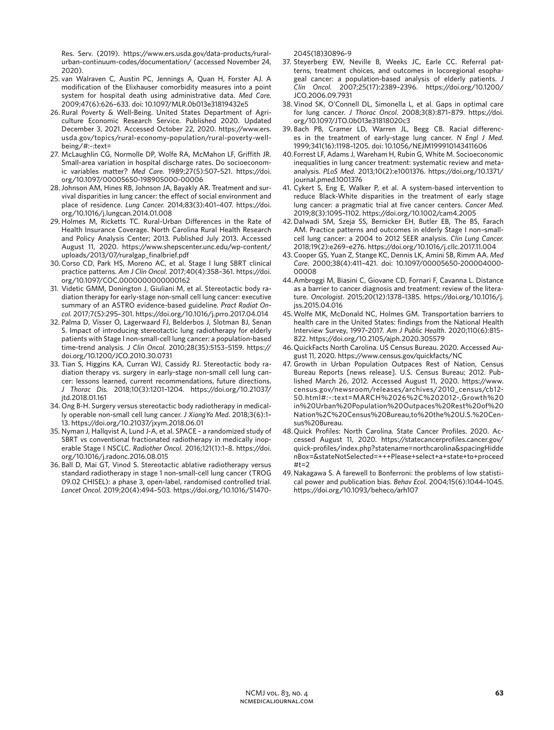Res. Serv. (2019). https://www.ers.usda.gov/data-products/ruralurban-continuum-codes/documentation/ (accessed November 24, 2020).

- 25. van Walraven C, Austin PC, Jennings A, Quan H, Forster AJ. A modification of the Elixhauser comorbidity measures into a point system for hospital death using administrative data. *Med Care.*  2009;47(6):626–633. doi: 10.1097/MLR.0b013e31819432e5
- 26. Rural Poverty & Well-Being. United States Department of Agriculture Economic Research Service. Published 2020. Updated December 3, 2021. Accessed October 22, 2020. https://www.ers. usda.gov/topics/rural-economy-population/rural-poverty-wellbeing/#:~:text=
- 27. McLaughlin CG, Normolle DP, Wolfe RA, McMahon LF, Griffith JR. Small-area variation in hospital discharge rates. Do socioeconomic variables matter? *Med Care.* 1989;27(5):507–521. https://doi. org/10.1097/00005650-198905000-00006
- 28.Johnson AM, Hines RB, Johnson JA, Bayakly AR. Treatment and survival disparities in lung cancer: the effect of social environment and place of residence. *Lung Cancer.* 2014;83(3):401–407. https://doi. org/10.1016/j.lungcan.2014.01.008
- 29. Holmes M, Ricketts TC. Rural-Urban Differences in the Rate of Health Insurance Coverage. North Carolina Rural Health Research and Policy Analysis Center; 2013. Published July 2013. Accessed August 11, 2020. https://www.shepscenter.unc.edu/wp-content/ uploads/2013/07/ruralgap\_finalbrief.pdf
- 30.Corso CD, Park HS, Moreno AC, et al. Stage I lung SBRT clinical practice patterns. *Am J Clin Oncol.* 2017;40(4):358–361. https://doi. org/10.1097/COC.0000000000000162
- 31. Videtic GMM, Donington J, Giuliani M, et al. Stereotactic body radiation therapy for early-stage non-small cell lung cancer: executive summary of an ASTRO evidence-based guideline. *Pract Radiat Oncol.* 2017;7(5):295–301. https://doi.org/10.1016/j.prro.2017.04.014
- 32. Palma D, Visser O, Lagerwaard FJ, Belderbos J, Slotman BJ, Senan S. Impact of introducing stereotactic lung radiotherapy for elderly patients with Stage I non-small-cell lung cancer: a population-based time-trend analysis. *J Clin Oncol.* 2010;28(35):5153–5159. https:// doi.org/10.1200/JCO.2010.30.0731
- 33. Tian S, Higgins KA, Curran WJ, Cassidy RJ. Stereotactic body radiation therapy vs. surgery in early-stage non-small cell lung cancer: lessons learned, current recommendations, future directions. *J Thorac Dis.* 2018;10(3):1201–1204. https://doi.org/10.21037/ jtd.2018.01.161
- 34. Ong B-H. Surgery versus stereotactic body radiotherapy in medically operable non-small cell lung cancer. *J XiangYa Med*. 2018;3(6):1– 13. https://doi.org/10.21037/jxym.2018.06.01
- 35. Nyman J, Hallqvist A, Lund J-A, et al. SPACE a randomized study of SBRT vs conventional fractionated radiotherapy in medically inoperable Stage I NSCLC. *Radiother Oncol.* 2016;121(1):1–8. https://doi. org/10.1016/j.radonc.2016.08.015
- 36. Ball D, Mai GT, Vinod S. Stereotactic ablative radiotherapy versus standard radiotherapy in stage 1 non-small-cell lung cancer (TROG 09.02 CHISEL): a phase 3, open-label, randomised controlled trial. *Lancet Oncol.* 2019;20(4):494–503. https://doi.org/10.1016/S1470-

2045(18)30896-9

- 37. Steyerberg EW, Neville B, Weeks JC, Earle CC. Referral patterns, treatment choices, and outcomes in locoregional esophageal cancer: a population-based analysis of elderly patients. *J Clin Oncol.* 2007;25(17):2389–2396. https://doi.org/10.1200/ JCO.2006.09.7931
- 38. Vinod SK, O'Connell DL, Simonella L, et al. Gaps in optimal care for lung cancer. *J Thorac Oncol*. 2008;3(8):871–879. https://doi. org/10.1097/JTO.0b013e31818020c3
- 39. Bach PB, Cramer LD, Warren JL, Begg CB. Racial differences in the treatment of early-stage lung cancer. *N Engl J Med.*  1999;341(16):1198–1205. doi: 10.1056/NEJM199910143411606
- 40.Forrest LF, Adams J, Wareham H, Rubin G, White M. Socioeconomic inequalities in lung cancer treatment: systematic review and metaanalysis. *PLoS Med*. 2013;10(2):e1001376. https://doi.org/10.1371/ journal.pmed.1001376
- 41. Cykert S, Eng E, Walker P, et al. A system-based intervention to reduce Black-White disparities in the treatment of early stage lung cancer: a pragmatic trial at five cancer centers. *Cancer Med.*  2019;8(3):1095–1102. https://doi.org/10.1002/cam4.2005
- 42. Dalwadi SM, Szeja SS, Bernicker EH, Butler EB, The BS, Farach AM. Practice patterns and outcomes in elderly Stage I non–smallcell lung cancer: a 2004 to 2012 SEER analysis. *Clin Lung Cancer.*  2018;19(2):e269–e276. https://doi.org/10.1016/j.cllc.2017.11.004
- 43. Cooper GS, Yuan Z, Stange KC, Dennis LK, Amini SB, Rimm AA. *Med Care*. 2000;38(4):411–421. doi: 10.1097/00005650-200004000- 00008
- 44.Ambroggi M, Biasini C, Giovane CD, Fornari F, Cavanna L. Distance as a barrier to cancer diagnosis and treatment: review of the literature. *Oncologist*. 2015;20(12):1378–1385. https://doi.org/10.1016/j. jss.2015.04.016
- 45.Wolfe MK, McDonald NC, Holmes GM. Transportation barriers to health care in the United States: findings from the National Health Interview Survey, 1997–2017. *Am J Public Health*. 2020;110(6):815– 822. https://doi.org/10.2105/ajph.2020.305579
- 46.QuickFacts North Carolina. US Census Bureau. 2020. Accessed August 11, 2020. https://www.census.gov/quickfacts/NC
- 47. Growth in Urban Population Outpaces Rest of Nation, Census Bureau Reports [news release]. U.S. Census Bureau; 2012. Published March 26, 2012. Accessed August 11, 2020. https://www. census.gov/newsroom/releases/archives/2010\_census/cb12- 50.html#:~:text=MARCH%2026%2C%202012-,Growth%20 in%20Urban%20Population%20Outpaces%20Rest%20of%20 Nation%2C%20Census%20Bureau,to%20the%20U.S.%20Census%20Bureau.
- 48.Quick Profiles: North Carolina. State Cancer Profiles. 2020. Accessed August 11, 2020. https://statecancerprofiles.cancer.gov/ quick-profiles/index.php?statename=northcarolina&spacingHidde nBox=&stateNotSelected=+++Please+select+a+state+to+proceed #t=2
- 49. Nakagawa S. A farewell to Bonferroni: the problems of low statistical power and publication bias. *Behav Ecol.* 2004;15(6):1044–1045. https://doi.org/10.1093/beheco/arh107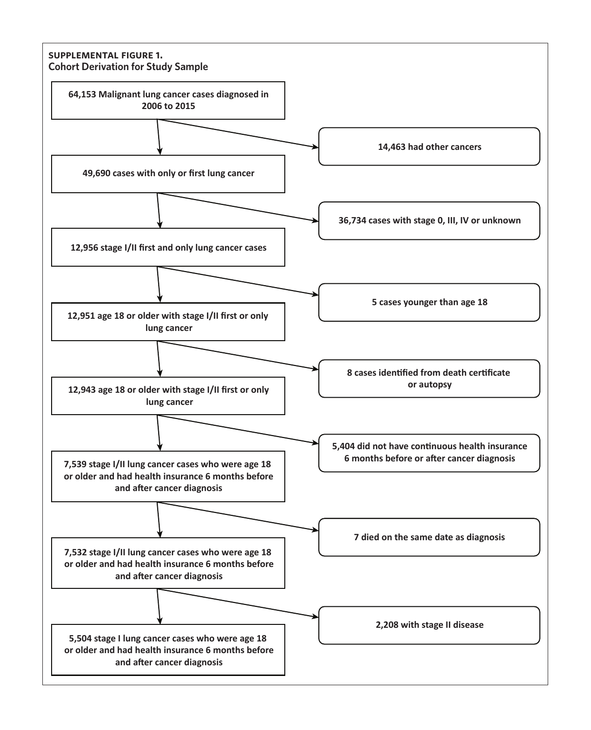